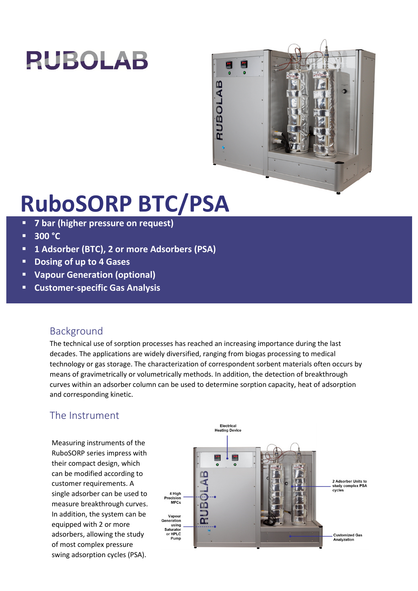# **RUBOLAB**



## **RuboSORP BTC/PSA**

- **7 bar (higher pressure on request)**
- $\overline{\phantom{0}}$  300  $\overline{\phantom{0}}$  C
- **1 Adsorber (BTC), 2 or more Adsorbers (PSA)**
- **Dosing of up to 4 Gases**
- **Vapour Generation (optional)**
- **Customer-specific Gas Analysis**

## Background

The technical use of sorption processes has reached an increasing importance during the last decades. The applications are widely diversified, ranging from biogas processing to medical technology or gas storage. The characterization of correspondent sorbent materials often occurs by means of gravimetrically or volumetrically methods. In addition, the detection of breakthrough curves within an adsorber column can be used to determine sorption capacity, heat of adsorption and corresponding kinetic.

## The Instrument

Measuring instruments of the RuboSORP series impress with their compact design, which can be modified according to customer requirements. A single adsorber can be used to measure breakthrough curves. In addition, the system can be equipped with 2 or more adsorbers, allowing the study of most complex pressure swing adsorption cycles (PSA).